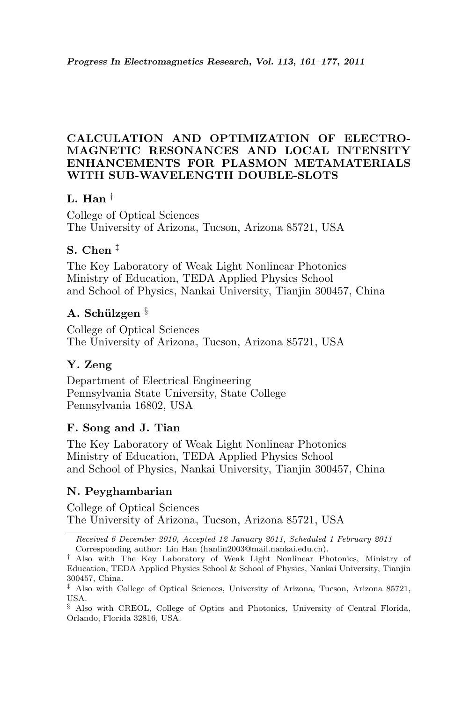### CALCULATION AND OPTIMIZATION OF ELECTRO-MAGNETIC RESONANCES AND LOCAL INTENSITY ENHANCEMENTS FOR PLASMON METAMATERIALS WITH SUB-WAVELENGTH DOUBLE-SLOTS

## L. Han  $^{\dagger}$

College of Optical Sciences The University of Arizona, Tucson, Arizona 85721, USA

## S. Chen ‡

The Key Laboratory of Weak Light Nonlinear Photonics Ministry of Education, TEDA Applied Physics School and School of Physics, Nankai University, Tianjin 300457, China

## A. Schülzgen  $§$

College of Optical Sciences The University of Arizona, Tucson, Arizona 85721, USA

# Y. Zeng

Department of Electrical Engineering Pennsylvania State University, State College Pennsylvania 16802, USA

## F. Song and J. Tian

The Key Laboratory of Weak Light Nonlinear Photonics Ministry of Education, TEDA Applied Physics School and School of Physics, Nankai University, Tianjin 300457, China

# N. Peyghambarian

College of Optical Sciences The University of Arizona, Tucson, Arizona 85721, USA

Received 6 December 2010, Accepted 12 January 2011, Scheduled 1 February 2011 Corresponding author: Lin Han (hanlin2003@mail.nankai.edu.cn).

<sup>†</sup> Also with The Key Laboratory of Weak Light Nonlinear Photonics, Ministry of Education, TEDA Applied Physics School & School of Physics, Nankai University, Tianjin 300457, China.

<sup>‡</sup> Also with College of Optical Sciences, University of Arizona, Tucson, Arizona 85721, USA.

<sup>§</sup> Also with CREOL, College of Optics and Photonics, University of Central Florida, Orlando, Florida 32816, USA.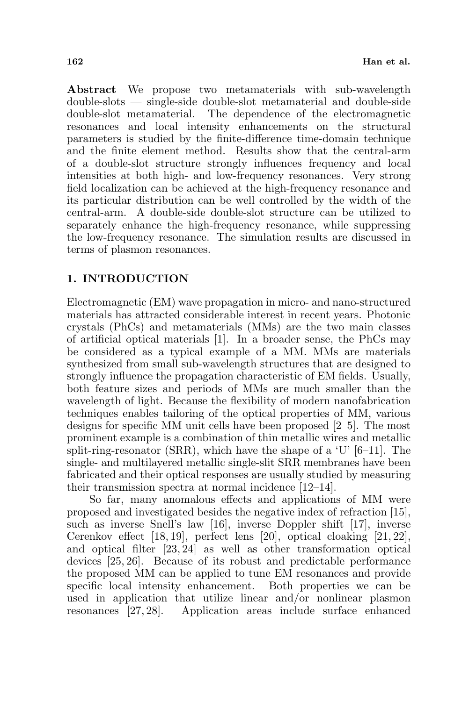Abstract—We propose two metamaterials with sub-wavelength double-slots — single-side double-slot metamaterial and double-side double-slot metamaterial. The dependence of the electromagnetic resonances and local intensity enhancements on the structural parameters is studied by the finite-difference time-domain technique and the finite element method. Results show that the central-arm of a double-slot structure strongly influences frequency and local intensities at both high- and low-frequency resonances. Very strong field localization can be achieved at the high-frequency resonance and its particular distribution can be well controlled by the width of the central-arm. A double-side double-slot structure can be utilized to separately enhance the high-frequency resonance, while suppressing the low-frequency resonance. The simulation results are discussed in terms of plasmon resonances.

#### 1. INTRODUCTION

Electromagnetic (EM) wave propagation in micro- and nano-structured materials has attracted considerable interest in recent years. Photonic crystals (PhCs) and metamaterials (MMs) are the two main classes of artificial optical materials [1]. In a broader sense, the PhCs may be considered as a typical example of a MM. MMs are materials synthesized from small sub-wavelength structures that are designed to strongly influence the propagation characteristic of EM fields. Usually, both feature sizes and periods of MMs are much smaller than the wavelength of light. Because the flexibility of modern nanofabrication techniques enables tailoring of the optical properties of MM, various designs for specific MM unit cells have been proposed [2–5]. The most prominent example is a combination of thin metallic wires and metallic split-ring-resonator  $(SRR)$ , which have the shape of a 'U'  $[6-11]$ . The single- and multilayered metallic single-slit SRR membranes have been fabricated and their optical responses are usually studied by measuring their transmission spectra at normal incidence [12–14].

So far, many anomalous effects and applications of MM were proposed and investigated besides the negative index of refraction [15], such as inverse Snell's law [16], inverse Doppler shift [17], inverse Cerenkov effect [18, 19], perfect lens [20], optical cloaking [21, 22], and optical filter [23, 24] as well as other transformation optical devices [25, 26]. Because of its robust and predictable performance the proposed MM can be applied to tune EM resonances and provide specific local intensity enhancement. Both properties we can be used in application that utilize linear and/or nonlinear plasmon resonances [27, 28]. Application areas include surface enhanced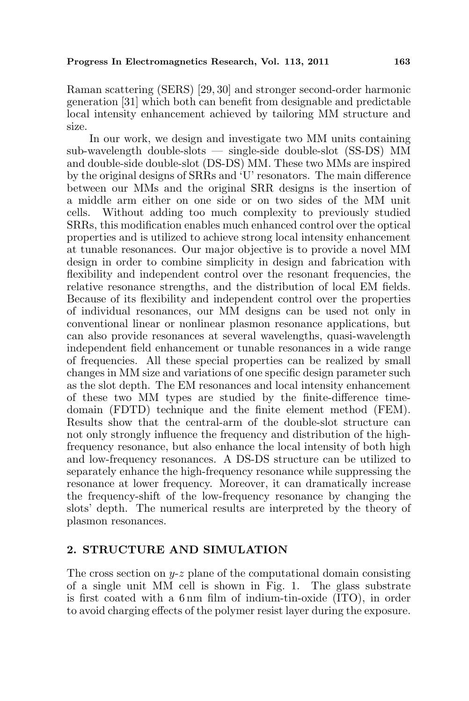Raman scattering (SERS) [29, 30] and stronger second-order harmonic generation [31] which both can benefit from designable and predictable local intensity enhancement achieved by tailoring MM structure and size.

In our work, we design and investigate two MM units containing  $sub-$ wavelength double-slots — single-side double-slot  $(SS-DS)$  MM and double-side double-slot (DS-DS) MM. These two MMs are inspired by the original designs of SRRs and 'U' resonators. The main difference between our MMs and the original SRR designs is the insertion of a middle arm either on one side or on two sides of the MM unit cells. Without adding too much complexity to previously studied SRRs, this modification enables much enhanced control over the optical properties and is utilized to achieve strong local intensity enhancement at tunable resonances. Our major objective is to provide a novel MM design in order to combine simplicity in design and fabrication with flexibility and independent control over the resonant frequencies, the relative resonance strengths, and the distribution of local EM fields. Because of its flexibility and independent control over the properties of individual resonances, our MM designs can be used not only in conventional linear or nonlinear plasmon resonance applications, but can also provide resonances at several wavelengths, quasi-wavelength independent field enhancement or tunable resonances in a wide range of frequencies. All these special properties can be realized by small changes in MM size and variations of one specific design parameter such as the slot depth. The EM resonances and local intensity enhancement of these two MM types are studied by the finite-difference timedomain (FDTD) technique and the finite element method (FEM). Results show that the central-arm of the double-slot structure can not only strongly influence the frequency and distribution of the highfrequency resonance, but also enhance the local intensity of both high and low-frequency resonances. A DS-DS structure can be utilized to separately enhance the high-frequency resonance while suppressing the resonance at lower frequency. Moreover, it can dramatically increase the frequency-shift of the low-frequency resonance by changing the slots' depth. The numerical results are interpreted by the theory of plasmon resonances.

#### 2. STRUCTURE AND SIMULATION

The cross section on  $y-z$  plane of the computational domain consisting of a single unit MM cell is shown in Fig. 1. The glass substrate is first coated with a 6 nm film of indium-tin-oxide (ITO), in order to avoid charging effects of the polymer resist layer during the exposure.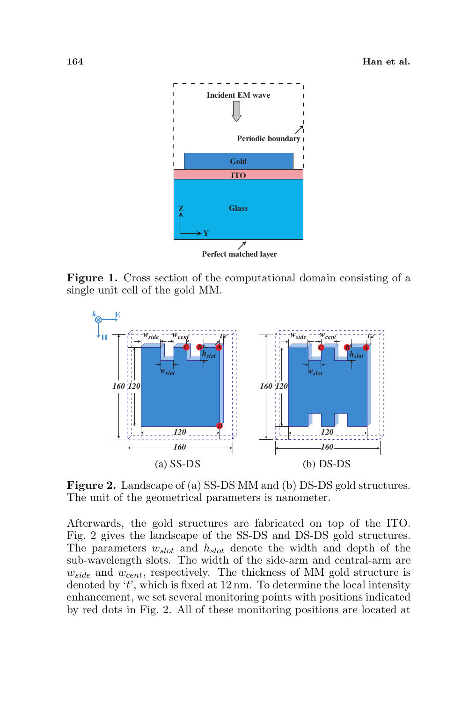

Figure 1. Cross section of the computational domain consisting of a single unit cell of the gold MM.



Figure 2. Landscape of (a) SS-DS MM and (b) DS-DS gold structures. The unit of the geometrical parameters is nanometer.

Afterwards, the gold structures are fabricated on top of the ITO. Fig. 2 gives the landscape of the SS-DS and DS-DS gold structures. The parameters  $w_{slot}$  and  $h_{slot}$  denote the width and depth of the sub-wavelength slots. The width of the side-arm and central-arm are  $w_{side}$  and  $w_{cent}$ , respectively. The thickness of MM gold structure is denoted by 't', which is fixed at  $12 \,\mathrm{nm}$ . To determine the local intensity enhancement, we set several monitoring points with positions indicated by red dots in Fig. 2. All of these monitoring positions are located at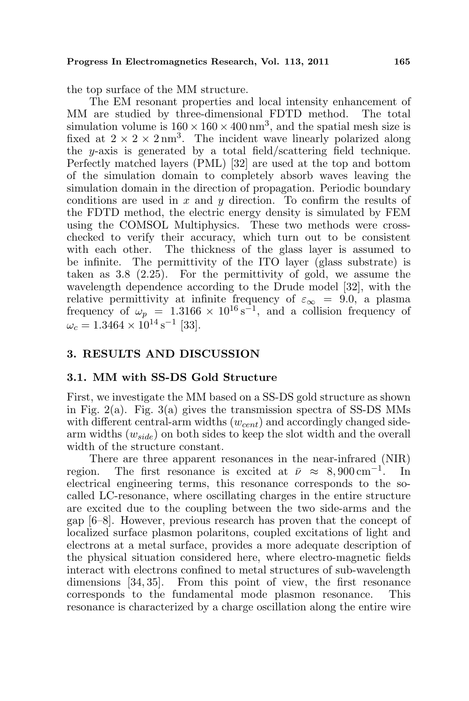the top surface of the MM structure.

The EM resonant properties and local intensity enhancement of MM are studied by three-dimensional FDTD method. The total simulation volume is  $160 \times 160 \times 400 \text{ nm}^3$ , and the spatial mesh size is fixed at  $2 \times 2 \times 2$  nm<sup>3</sup>. The incident wave linearly polarized along the y-axis is generated by a total field/scattering field technique. Perfectly matched layers (PML) [32] are used at the top and bottom of the simulation domain to completely absorb waves leaving the simulation domain in the direction of propagation. Periodic boundary conditions are used in  $x$  and  $y$  direction. To confirm the results of the FDTD method, the electric energy density is simulated by FEM using the COMSOL Multiphysics. These two methods were crosschecked to verify their accuracy, which turn out to be consistent with each other. The thickness of the glass layer is assumed to be infinite. The permittivity of the ITO layer (glass substrate) is taken as 3.8 (2.25). For the permittivity of gold, we assume the wavelength dependence according to the Drude model [32], with the relative permittivity at infinite frequency of  $\varepsilon_{\infty} = 9.0$ , a plasma frequency of  $\omega_p = 1.3166 \times 10^{16} \text{ s}^{-1}$ , and a collision frequency of  $\omega_c = 1.3464 \times 10^{14} \,\mathrm{s}^{-1}$  [33].

### 3. RESULTS AND DISCUSSION

### 3.1. MM with SS-DS Gold Structure

First, we investigate the MM based on a SS-DS gold structure as shown in Fig. 2(a). Fig. 3(a) gives the transmission spectra of SS-DS MMs with different central-arm widths  $(w_{cent})$  and accordingly changed sidearm widths  $(w_{side})$  on both sides to keep the slot width and the overall width of the structure constant.

There are three apparent resonances in the near-infrared (NIR) region. The first resonance is excited at  $\bar{\nu} \approx 8,900 \,\mathrm{cm}^{-1}$ . . In electrical engineering terms, this resonance corresponds to the socalled LC-resonance, where oscillating charges in the entire structure are excited due to the coupling between the two side-arms and the gap [6–8]. However, previous research has proven that the concept of localized surface plasmon polaritons, coupled excitations of light and electrons at a metal surface, provides a more adequate description of the physical situation considered here, where electro-magnetic fields interact with electrons confined to metal structures of sub-wavelength dimensions [34, 35]. From this point of view, the first resonance corresponds to the fundamental mode plasmon resonance. This resonance is characterized by a charge oscillation along the entire wire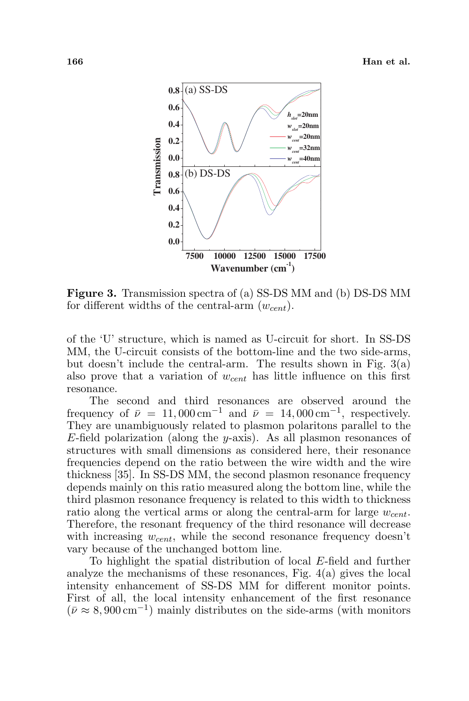

Figure 3. Transmission spectra of (a) SS-DS MM and (b) DS-DS MM for different widths of the central-arm  $(w_{cent})$ .

of the 'U' structure, which is named as U-circuit for short. In SS-DS MM, the U-circuit consists of the bottom-line and the two side-arms, but doesn't include the central-arm. The results shown in Fig.  $3(a)$ also prove that a variation of  $w_{cent}$  has little influence on this first resonance.

The second and third resonances are observed around the frequency of  $\bar{\nu} = 11,000 \,\mathrm{cm}^{-1}$  and  $\bar{\nu} = 14,000 \,\mathrm{cm}^{-1}$ , respectively. They are unambiguously related to plasmon polaritons parallel to the E-field polarization (along the y-axis). As all plasmon resonances of structures with small dimensions as considered here, their resonance frequencies depend on the ratio between the wire width and the wire thickness [35]. In SS-DS MM, the second plasmon resonance frequency depends mainly on this ratio measured along the bottom line, while the third plasmon resonance frequency is related to this width to thickness ratio along the vertical arms or along the central-arm for large  $w_{cent}$ . Therefore, the resonant frequency of the third resonance will decrease with increasing  $w_{cent}$ , while the second resonance frequency doesn't vary because of the unchanged bottom line.

To highlight the spatial distribution of local E-field and further analyze the mechanisms of these resonances, Fig. 4(a) gives the local intensity enhancement of SS-DS MM for different monitor points. First of all, the local intensity enhancement of the first resonance  $(\bar{\nu} \approx 8,900 \,\mathrm{cm}^{-1})$  mainly distributes on the side-arms (with monitors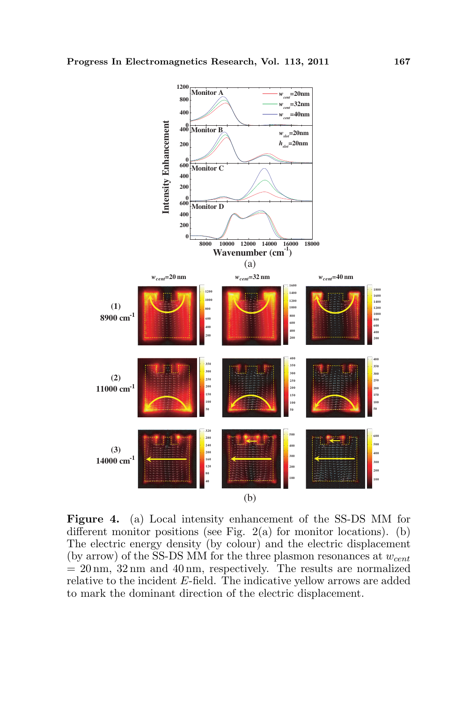

Figure 4. (a) Local intensity enhancement of the SS-DS MM for different monitor positions (see Fig.  $2(a)$  for monitor locations). (b) The electric energy density (by colour) and the electric displacement (by arrow) of the SS-DS MM for the three plasmon resonances at  $w_{cent}$  $= 20 \,\mathrm{nm}$ ,  $32 \,\mathrm{nm}$  and  $40 \,\mathrm{nm}$ , respectively. The results are normalized relative to the incident E-field. The indicative yellow arrows are added to mark the dominant direction of the electric displacement.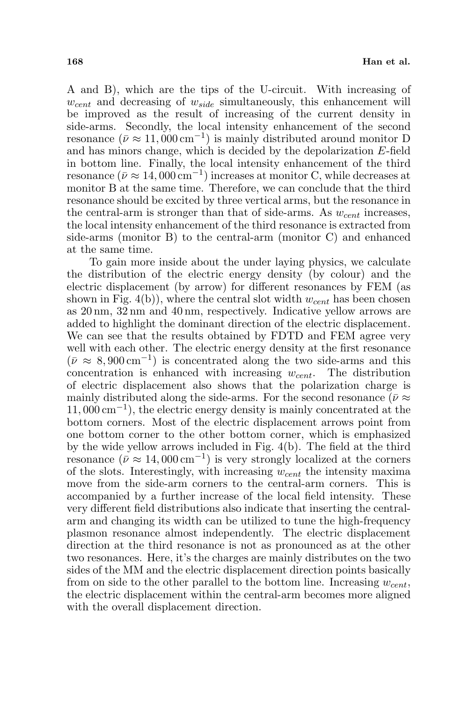A and B), which are the tips of the U-circuit. With increasing of  $w_{cent}$  and decreasing of  $w_{side}$  simultaneously, this enhancement will be improved as the result of increasing of the current density in side-arms. Secondly, the local intensity enhancement of the second resonance  $(\bar{\nu} \approx 11,000 \,\mathrm{cm}^{-1})$  is mainly distributed around monitor D and has minors change, which is decided by the depolarization E-field in bottom line. Finally, the local intensity enhancement of the third resonance ( $\bar{\nu} \approx 14,000 \,\mathrm{cm}^{-1}$ ) increases at monitor C, while decreases at monitor B at the same time. Therefore, we can conclude that the third resonance should be excited by three vertical arms, but the resonance in the central-arm is stronger than that of side-arms. As  $w_{cent}$  increases, the local intensity enhancement of the third resonance is extracted from side-arms (monitor B) to the central-arm (monitor C) and enhanced at the same time.

To gain more inside about the under laying physics, we calculate the distribution of the electric energy density (by colour) and the electric displacement (by arrow) for different resonances by FEM (as shown in Fig.  $4(b)$ , where the central slot width  $w_{cent}$  has been chosen as 20 nm, 32 nm and 40 nm, respectively. Indicative yellow arrows are added to highlight the dominant direction of the electric displacement. We can see that the results obtained by FDTD and FEM agree very well with each other. The electric energy density at the first resonance  $(\bar{\nu} \approx 8,900 \,\mathrm{cm}^{-1})$  is concentrated along the two side-arms and this concentration is enhanced with increasing  $w_{cent}$ . The distribution of electric displacement also shows that the polarization charge is mainly distributed along the side-arms. For the second resonance ( $\bar{\nu} \approx$ 11, 000 cm−<sup>1</sup> ), the electric energy density is mainly concentrated at the bottom corners. Most of the electric displacement arrows point from one bottom corner to the other bottom corner, which is emphasized by the wide yellow arrows included in Fig. 4(b). The field at the third resonance ( $\bar{\nu} \approx 14,000 \,\mathrm{cm}^{-1}$ ) is very strongly localized at the corners of the slots. Interestingly, with increasing  $w_{cent}$  the intensity maxima move from the side-arm corners to the central-arm corners. This is accompanied by a further increase of the local field intensity. These very different field distributions also indicate that inserting the centralarm and changing its width can be utilized to tune the high-frequency plasmon resonance almost independently. The electric displacement direction at the third resonance is not as pronounced as at the other two resonances. Here, it's the charges are mainly distributes on the two sides of the MM and the electric displacement direction points basically from on side to the other parallel to the bottom line. Increasing  $w_{cent}$ , the electric displacement within the central-arm becomes more aligned with the overall displacement direction.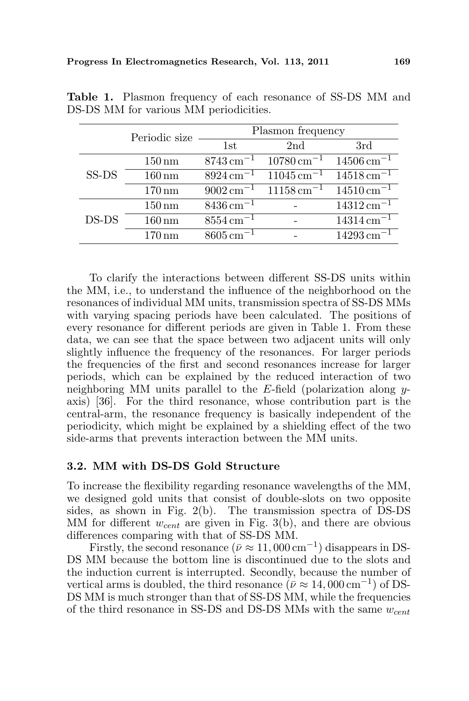|       | Periodic size       | Plasmon frequency         |                            |                            |
|-------|---------------------|---------------------------|----------------------------|----------------------------|
|       |                     | 1st                       | 2 <sub>nd</sub>            | 3rd                        |
| SS-DS | $150 \,\mathrm{nm}$ | $8743 \,\mathrm{cm}^{-1}$ | $10780 \,\mathrm{cm}^{-1}$ | $14506 \,\mathrm{cm}^{-1}$ |
|       | $160 \,\mathrm{nm}$ | $8924 \text{ cm}^{-1}$    | $11045 \,\mathrm{cm}^{-1}$ | $14518 \,\mathrm{cm}^{-1}$ |
|       | $170 \,\mathrm{nm}$ | $9002 \,\mathrm{cm}^{-1}$ | $11158 \,\mathrm{cm}^{-1}$ | $14510 \,\mathrm{cm}^{-1}$ |
| DS-DS | $150 \,\mathrm{nm}$ | $8436 \,\mathrm{cm}^{-1}$ |                            | $14312 \,\mathrm{cm}^{-1}$ |
|       | $160 \,\mathrm{nm}$ | $8554 \,\mathrm{cm}^{-1}$ |                            | $14314 \,\mathrm{cm}^{-1}$ |
|       | $170 \,\mathrm{nm}$ | $8605 \,\mathrm{cm}^{-1}$ |                            | $14293 \,\mathrm{cm}^{-1}$ |

Table 1. Plasmon frequency of each resonance of SS-DS MM and DS-DS MM for various MM periodicities.

To clarify the interactions between different SS-DS units within the MM, i.e., to understand the influence of the neighborhood on the resonances of individual MM units, transmission spectra of SS-DS MMs with varying spacing periods have been calculated. The positions of every resonance for different periods are given in Table 1. From these data, we can see that the space between two adjacent units will only slightly influence the frequency of the resonances. For larger periods the frequencies of the first and second resonances increase for larger periods, which can be explained by the reduced interaction of two neighboring MM units parallel to the E-field (polarization along  $y$ axis) [36]. For the third resonance, whose contribution part is the central-arm, the resonance frequency is basically independent of the periodicity, which might be explained by a shielding effect of the two side-arms that prevents interaction between the MM units.

#### 3.2. MM with DS-DS Gold Structure

To increase the flexibility regarding resonance wavelengths of the MM, we designed gold units that consist of double-slots on two opposite sides, as shown in Fig. 2(b). The transmission spectra of DS-DS MM for different  $w_{cent}$  are given in Fig. 3(b), and there are obvious differences comparing with that of SS-DS MM.

Firstly, the second resonance  $(\bar{\nu} \approx 11,000 \,\mathrm{cm}^{-1})$  disappears in DS-DS MM because the bottom line is discontinued due to the slots and the induction current is interrupted. Secondly, because the number of vertical arms is doubled, the third resonance  $(\bar{\nu} \approx 14,000 \,\mathrm{cm}^{-1})$  of DS-DS MM is much stronger than that of SS-DS MM, while the frequencies of the third resonance in SS-DS and DS-DS MMs with the same  $w_{cent}$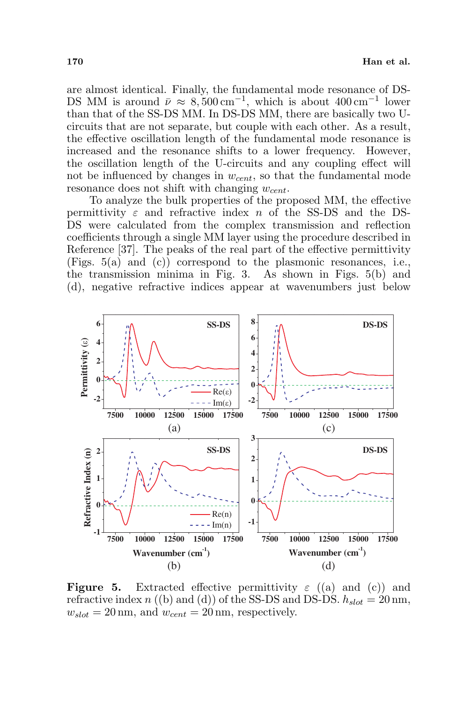are almost identical. Finally, the fundamental mode resonance of DS-DS MM is around  $\bar{\nu} \approx 8,500 \,\mathrm{cm}^{-1}$ , which is about  $400 \,\mathrm{cm}^{-1}$  lower than that of the SS-DS MM. In DS-DS MM, there are basically two Ucircuits that are not separate, but couple with each other. As a result, the effective oscillation length of the fundamental mode resonance is increased and the resonance shifts to a lower frequency. However, the oscillation length of the U-circuits and any coupling effect will not be influenced by changes in  $w_{cent}$ , so that the fundamental mode resonance does not shift with changing  $w_{cent}$ .

To analyze the bulk properties of the proposed MM, the effective permittivity  $\varepsilon$  and refractive index n of the SS-DS and the DS-DS were calculated from the complex transmission and reflection coefficients through a single MM layer using the procedure described in Reference [37]. The peaks of the real part of the effective permittivity (Figs. 5(a) and (c)) correspond to the plasmonic resonances, i.e., the transmission minima in Fig. 3. As shown in Figs. 5(b) and (d), negative refractive indices appear at wavenumbers just below



**Figure 5.** Extracted effective permittivity  $\varepsilon$  ((a) and (c)) and refractive index n ((b) and (d)) of the SS-DS and DS-DS.  $h_{slot} = 20 \text{ nm}$ ,  $w_{slot} = 20 \,\text{nm}$ , and  $w_{cent} = 20 \,\text{nm}$ , respectively.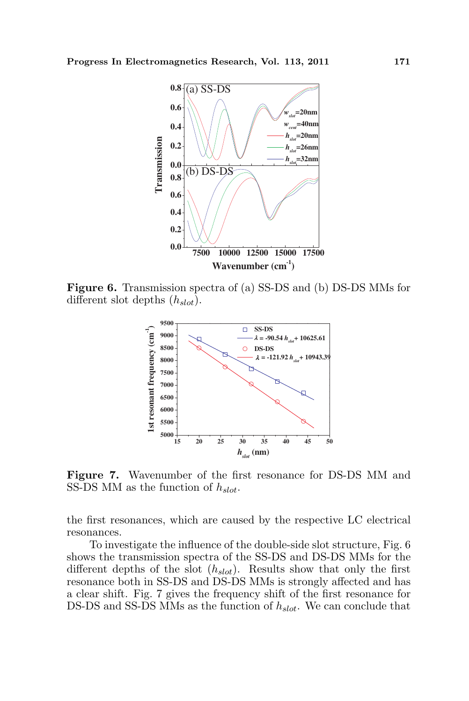

Figure 6. Transmission spectra of (a) SS-DS and (b) DS-DS MMs for different slot depths  $(h_{slot})$ .



Figure 7. Wavenumber of the first resonance for DS-DS MM and SS-DS MM as the function of  $h_{slot}$ .

the first resonances, which are caused by the respective LC electrical resonances.

To investigate the influence of the double-side slot structure, Fig. 6 shows the transmission spectra of the SS-DS and DS-DS MMs for the different depths of the slot  $(h_{slot})$ . Results show that only the first resonance both in SS-DS and DS-DS MMs is strongly affected and has a clear shift. Fig. 7 gives the frequency shift of the first resonance for DS-DS and SS-DS MMs as the function of  $h_{slot}$ . We can conclude that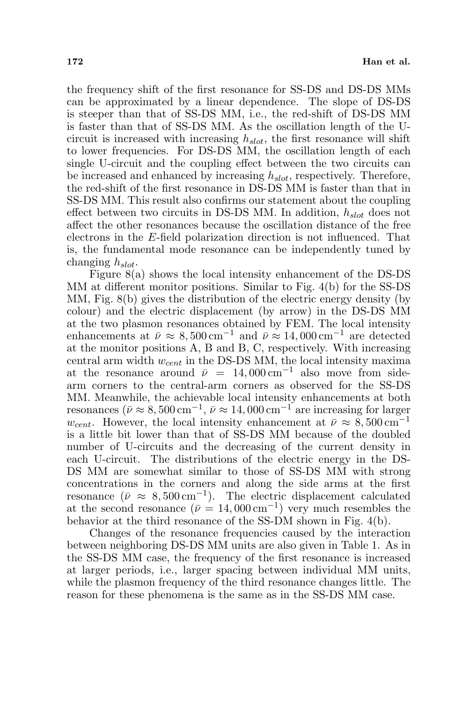the frequency shift of the first resonance for SS-DS and DS-DS MMs can be approximated by a linear dependence. The slope of DS-DS is steeper than that of SS-DS MM, i.e., the red-shift of DS-DS MM is faster than that of SS-DS MM. As the oscillation length of the Ucircuit is increased with increasing  $h_{slot}$ , the first resonance will shift to lower frequencies. For DS-DS MM, the oscillation length of each single U-circuit and the coupling effect between the two circuits can be increased and enhanced by increasing  $h_{slot}$ , respectively. Therefore, the red-shift of the first resonance in DS-DS MM is faster than that in SS-DS MM. This result also confirms our statement about the coupling effect between two circuits in DS-DS MM. In addition,  $h_{slot}$  does not affect the other resonances because the oscillation distance of the free electrons in the E-field polarization direction is not influenced. That is, the fundamental mode resonance can be independently tuned by changing  $h_{slot}$ .

Figure 8(a) shows the local intensity enhancement of the DS-DS MM at different monitor positions. Similar to Fig. 4(b) for the SS-DS MM, Fig. 8(b) gives the distribution of the electric energy density (by colour) and the electric displacement (by arrow) in the DS-DS MM at the two plasmon resonances obtained by FEM. The local intensity enhancements at  $\bar{\nu} \approx 8.500 \,\mathrm{cm}^{-1}$  and  $\bar{\nu} \approx 14.000 \,\mathrm{cm}^{-1}$  are detected at the monitor positions A, B and B, C, respectively. With increasing central arm width  $w_{cent}$  in the DS-DS MM, the local intensity maxima at the resonance around  $\bar{\nu} = 14,000 \,\mathrm{cm}^{-1}$  also move from sidearm corners to the central-arm corners as observed for the SS-DS MM. Meanwhile, the achievable local intensity enhancements at both resonances ( $\bar{\nu} \approx 8,500 \,\mathrm{cm}^{-1}, \bar{\nu} \approx 14,000 \,\mathrm{cm}^{-1}$  are increasing for larger  $w_{cent}$ . However, the local intensity enhancement at  $\bar{\nu} \approx 8,500 \,\mathrm{cm}^{-1}$ is a little bit lower than that of SS-DS MM because of the doubled number of U-circuits and the decreasing of the current density in each U-circuit. The distributions of the electric energy in the DS-DS MM are somewhat similar to those of SS-DS MM with strong concentrations in the corners and along the side arms at the first resonance  $(\bar{\nu} \approx 8,500 \,\mathrm{cm}^{-1})$ . The electric displacement calculated at the second resonance  $(\bar{\nu} = 14,000 \,\mathrm{cm}^{-1})$  very much resembles the behavior at the third resonance of the SS-DM shown in Fig. 4(b).

Changes of the resonance frequencies caused by the interaction between neighboring DS-DS MM units are also given in Table 1. As in the SS-DS MM case, the frequency of the first resonance is increased at larger periods, i.e., larger spacing between individual MM units, while the plasmon frequency of the third resonance changes little. The reason for these phenomena is the same as in the SS-DS MM case.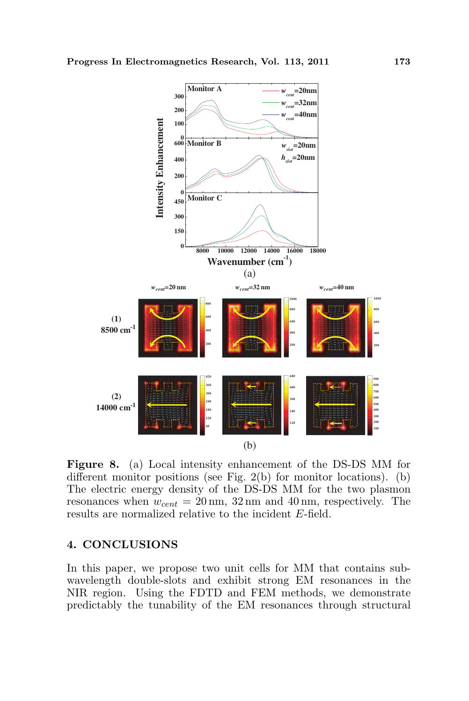

Figure 8. (a) Local intensity enhancement of the DS-DS MM for different monitor positions (see Fig. 2(b) for monitor locations). (b) The electric energy density of the DS-DS MM for the two plasmon resonances when  $w_{cent} = 20 \text{ nm}$ , 32 nm and 40 nm, respectively. The results are normalized relative to the incident E-field.

#### 4. CONCLUSIONS

In this paper, we propose two unit cells for MM that contains subwavelength double-slots and exhibit strong EM resonances in the NIR region. Using the FDTD and FEM methods, we demonstrate predictably the tunability of the EM resonances through structural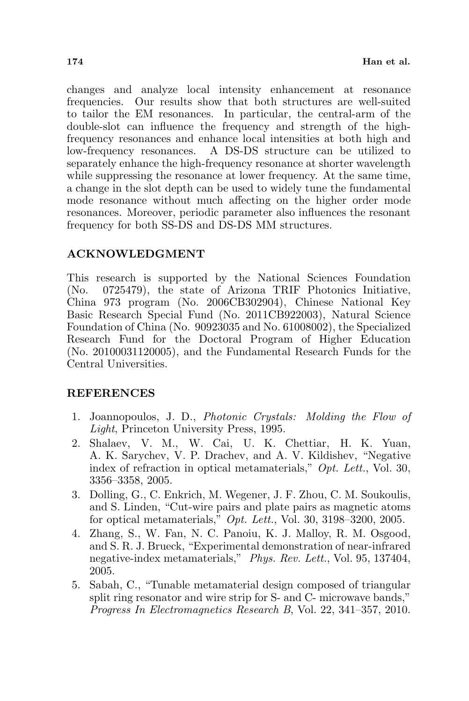changes and analyze local intensity enhancement at resonance frequencies. Our results show that both structures are well-suited to tailor the EM resonances. In particular, the central-arm of the double-slot can influence the frequency and strength of the highfrequency resonances and enhance local intensities at both high and low-frequency resonances. A DS-DS structure can be utilized to separately enhance the high-frequency resonance at shorter wavelength while suppressing the resonance at lower frequency. At the same time, a change in the slot depth can be used to widely tune the fundamental mode resonance without much affecting on the higher order mode resonances. Moreover, periodic parameter also influences the resonant frequency for both SS-DS and DS-DS MM structures.

### ACKNOWLEDGMENT

This research is supported by the National Sciences Foundation (No. 0725479), the state of Arizona TRIF Photonics Initiative, China 973 program (No. 2006CB302904), Chinese National Key Basic Research Special Fund (No. 2011CB922003), Natural Science Foundation of China (No. 90923035 and No. 61008002), the Specialized Research Fund for the Doctoral Program of Higher Education (No. 20100031120005), and the Fundamental Research Funds for the Central Universities.

### REFERENCES

- 1. Joannopoulos, J. D., Photonic Crystals: Molding the Flow of Light, Princeton University Press, 1995.
- 2. Shalaev, V. M., W. Cai, U. K. Chettiar, H. K. Yuan, A. K. Sarychev, V. P. Drachev, and A. V. Kildishev, "Negative index of refraction in optical metamaterials," Opt. Lett., Vol. 30, 3356–3358, 2005.
- 3. Dolling, G., C. Enkrich, M. Wegener, J. F. Zhou, C. M. Soukoulis, and S. Linden, "Cut-wire pairs and plate pairs as magnetic atoms for optical metamaterials," Opt. Lett., Vol. 30, 3198–3200, 2005.
- 4. Zhang, S., W. Fan, N. C. Panoiu, K. J. Malloy, R. M. Osgood, and S. R. J. Brueck, "Experimental demonstration of near-infrared negative-index metamaterials," Phys. Rev. Lett., Vol. 95, 137404, 2005.
- 5. Sabah, C., "Tunable metamaterial design composed of triangular split ring resonator and wire strip for S- and C- microwave bands," Progress In Electromagnetics Research B, Vol. 22, 341–357, 2010.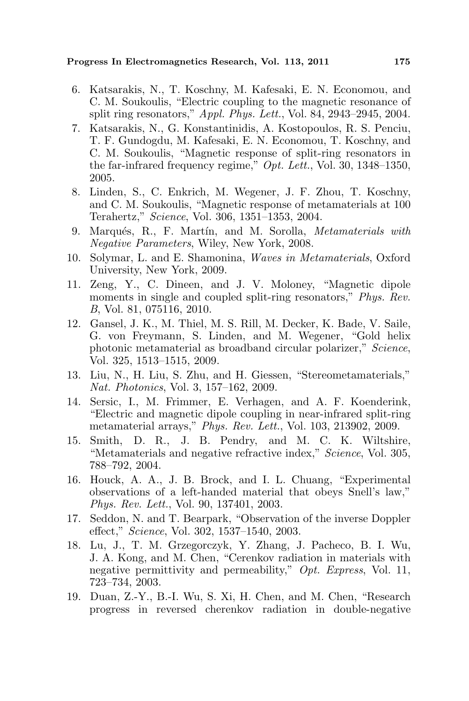#### Progress In Electromagnetics Research, Vol. 113, 2011 175

- 6. Katsarakis, N., T. Koschny, M. Kafesaki, E. N. Economou, and C. M. Soukoulis, "Electric coupling to the magnetic resonance of split ring resonators," *Appl. Phys. Lett.*, Vol. 84, 2943–2945, 2004.
- 7. Katsarakis, N., G. Konstantinidis, A. Kostopoulos, R. S. Penciu, T. F. Gundogdu, M. Kafesaki, E. N. Economou, T. Koschny, and C. M. Soukoulis, "Magnetic response of split-ring resonators in the far-infrared frequency regime," Opt. Lett., Vol. 30, 1348–1350, 2005.
- 8. Linden, S., C. Enkrich, M. Wegener, J. F. Zhou, T. Koschny, and C. M. Soukoulis, "Magnetic response of metamaterials at 100 Terahertz," Science, Vol. 306, 1351–1353, 2004.
- 9. Marqués, R., F. Martín, and M. Sorolla, *Metamaterials with* Negative Parameters, Wiley, New York, 2008.
- 10. Solymar, L. and E. Shamonina, Waves in Metamaterials, Oxford University, New York, 2009.
- 11. Zeng, Y., C. Dineen, and J. V. Moloney, "Magnetic dipole moments in single and coupled split-ring resonators," *Phys. Rev.* B, Vol. 81, 075116, 2010.
- 12. Gansel, J. K., M. Thiel, M. S. Rill, M. Decker, K. Bade, V. Saile, G. von Freymann, S. Linden, and M. Wegener, "Gold helix photonic metamaterial as broadband circular polarizer," Science, Vol. 325, 1513–1515, 2009.
- 13. Liu, N., H. Liu, S. Zhu, and H. Giessen, "Stereometamaterials," Nat. Photonics, Vol. 3, 157–162, 2009.
- 14. Sersic, I., M. Frimmer, E. Verhagen, and A. F. Koenderink, "Electric and magnetic dipole coupling in near-infrared split-ring metamaterial arrays," Phys. Rev. Lett., Vol. 103, 213902, 2009.
- 15. Smith, D. R., J. B. Pendry, and M. C. K. Wiltshire, "Metamaterials and negative refractive index," Science, Vol. 305, 788–792, 2004.
- 16. Houck, A. A., J. B. Brock, and I. L. Chuang, "Experimental observations of a left-handed material that obeys Snell's law," Phys. Rev. Lett., Vol. 90, 137401, 2003.
- 17. Seddon, N. and T. Bearpark, "Observation of the inverse Doppler effect," Science, Vol. 302, 1537–1540, 2003.
- 18. Lu, J., T. M. Grzegorczyk, Y. Zhang, J. Pacheco, B. I. Wu, J. A. Kong, and M. Chen, "Cerenkov radiation in materials with negative permittivity and permeability," *Opt. Express*, Vol. 11, 723–734, 2003.
- 19. Duan, Z.-Y., B.-I. Wu, S. Xi, H. Chen, and M. Chen, "Research progress in reversed cherenkov radiation in double-negative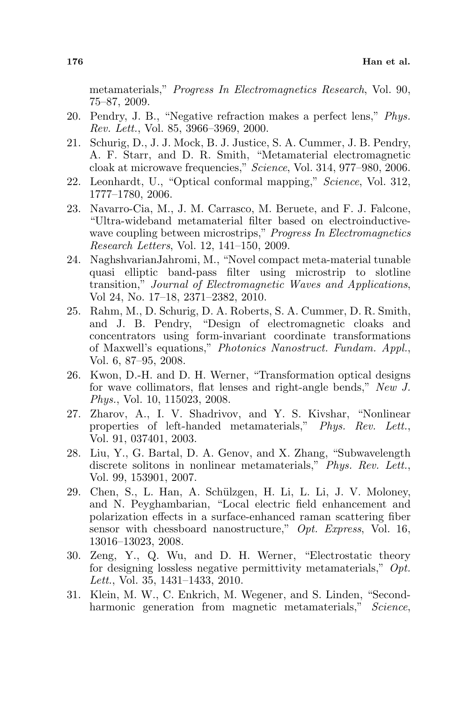metamaterials," Progress In Electromagnetics Research, Vol. 90, 75–87, 2009.

- 20. Pendry, J. B., "Negative refraction makes a perfect lens," Phys. Rev. Lett., Vol. 85, 3966–3969, 2000.
- 21. Schurig, D., J. J. Mock, B. J. Justice, S. A. Cummer, J. B. Pendry, A. F. Starr, and D. R. Smith, "Metamaterial electromagnetic cloak at microwave frequencies," Science, Vol. 314, 977–980, 2006.
- 22. Leonhardt, U., "Optical conformal mapping," Science, Vol. 312, 1777–1780, 2006.
- 23. Navarro-Cia, M., J. M. Carrasco, M. Beruete, and F. J. Falcone, "Ultra-wideband metamaterial filter based on electroinductivewave coupling between microstrips," Progress In Electromagnetics Research Letters, Vol. 12, 141–150, 2009.
- 24. NaghshvarianJahromi, M., "Novel compact meta-material tunable quasi elliptic band-pass filter using microstrip to slotline transition," Journal of Electromagnetic Waves and Applications, Vol 24, No. 17–18, 2371–2382, 2010.
- 25. Rahm, M., D. Schurig, D. A. Roberts, S. A. Cummer, D. R. Smith, and J. B. Pendry, "Design of electromagnetic cloaks and concentrators using form-invariant coordinate transformations of Maxwell's equations," Photonics Nanostruct. Fundam. Appl., Vol. 6, 87–95, 2008.
- 26. Kwon, D.-H. and D. H. Werner, "Transformation optical designs for wave collimators, flat lenses and right-angle bends," New J. Phys., Vol. 10, 115023, 2008.
- 27. Zharov, A., I. V. Shadrivov, and Y. S. Kivshar, "Nonlinear properties of left-handed metamaterials," Phys. Rev. Lett., Vol. 91, 037401, 2003.
- 28. Liu, Y., G. Bartal, D. A. Genov, and X. Zhang, "Subwavelength discrete solitons in nonlinear metamaterials," Phys. Rev. Lett., Vol. 99, 153901, 2007.
- 29. Chen, S., L. Han, A. Sch¨ulzgen, H. Li, L. Li, J. V. Moloney, and N. Peyghambarian, "Local electric field enhancement and polarization effects in a surface-enhanced raman scattering fiber sensor with chessboard nanostructure," *Opt. Express*, Vol. 16, 13016–13023, 2008.
- 30. Zeng, Y., Q. Wu, and D. H. Werner, "Electrostatic theory for designing lossless negative permittivity metamaterials," Opt. Lett., Vol. 35, 1431–1433, 2010.
- 31. Klein, M. W., C. Enkrich, M. Wegener, and S. Linden, "Secondharmonic generation from magnetic metamaterials," Science,